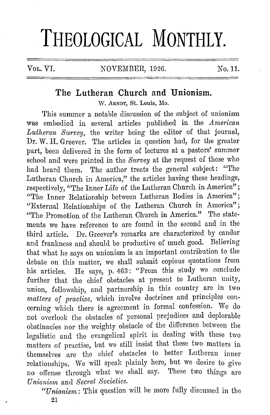# **THEOLOGICAL MONTHLY.**

#### VOL. VI. NOVEMBER, 1926.

No.11.

## **The Lutheran Church and Unionism.**

W. ARNDT, St. Louis, Mo.

This summer a notable discussion of the subject of unionism was embodied in several articles published in the *American Lutheran Survey,* the writer being the editor of that journal, Dr. W. H. Greever. The articles in question had, for the greater part, been delivered in the form of lectures at a pastors' summer school and were printed in the *Survey* at the request of those who had heard them. The author treats the general subject: "The Lutheran Church in America," the articles having these headings, respectively, "The Inner Life of the Lutheran Church in America"; "The Inner Relationship between Lutheran Bodies in America"; "External Relationships of the Lutheran Church in America"; "The Promotion of the Lutheran Church in America." The statements we have reference to are found in the second and in the third article. Dr. Greever's remarks are characterized by candor and frankness and should be productive of much good. Believing that what he says on unionism is an important contribution to the debate on this matter, we shall submit copious quotations from his articles. He says, p. 463: "From this study we conclude further that the chief obstacles at present to Lutheran unity, union, fellowship, and partnership in this country are in two *matters of practise,* which involve doctrines and principles concerning which there is agreement in formal confession. We do not overlook the obstacles of personal prejudices and deplorable obstinacies nor the weighty obstacle of the difference between the legalistic and the evangelical spirit in dealing with these two matters of practise, but we still insist that these two matters in themselves are the chief obstacles to better Lutheran inner relationships. We will speak plainly here, but we desire to give no offense through what we shall say. These two things are *Unionism* and *Secret Societies.* 

*"U nionis1n:* This question will he more fully discussed in the

**21**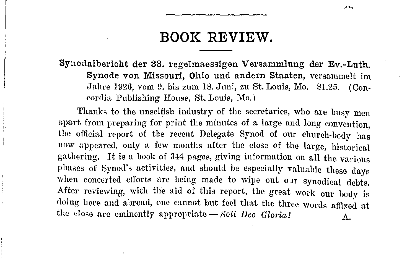### **BOOK REVIEW.**

Synodalhericht der 33. regelmaessigen Versammlung der Ev.-Luth. Synode von Missouri, Ohio und andern Staaten, vcrsammelt im ,fohre 1926, vom 9. bis zum 18. Juni, zu St. Louis, Mo. \$1.25. ( Concordia Publishing House, St. Louis, Mo.)

Thanks to the unselfish industry of the secretaries, who are busy men apart from preparing for print the minutes of a large and long convention, the official report of the recent Delegate Synod of our church-body has now appeared, only a few months after the close of the large, historical gathering. It is a book of 344 pages, giving information on all the various phases of Synod's activities, and should be especially valuable these days when concerted efforts are being made to wipe out our synodical debts. After reviewing, with the aid of this report, the great work our body is doing here and abroad, one cannot but feel that the three words affixed at *bhe* close are eminently appropriate - *Soli Deo Gloria!* A.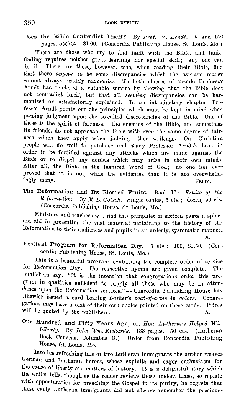Does the Bible Contradict Itself? By Prof. W. Arndt. V and 142 pages,  $5 \times 7\frac{1}{2}$ . \$1.00. (Concordia Publishing House, St. Louis, Mo.)

There are those who try to find fault with the Bible, and faultfinding requires neither great learning nor special skill; any one can do it. There are those, however, who when reading their Bible, find There are those, however, who, when reading their Bible, find that there *appear to be* some discrepancies which the average reader cannot always readily harmonize. To both classes of people Professor Arndt has rendered a valuable service by showing that the Bible does not contradict itself, but that all *seeming* discrepancies can be harmonized or satisfactorily explained. In an introductory chapter, Professor Arndt points out the principles which must be kept in mind when passing judgment upon the so-called discrepancies of the Bible. One of these is the spirit of fairness. The enemies of the Bible, and sometimes its friends, do not approach the Bible with even the same degree of fairness which they apply when judging other writings. Our Christian people will do well to purchase and study Professor Arndt's book in order to be fortified against any attacks which are made against the Bible or to dispel any doubts which may arise in their own minds. After all, the Bible is the inspired Word of God; no one has ever proved that it is not, while the evidences that it is are overwhelmingly many. The set of the set of the set of the set of the set of the set of the set of the set of the set of the set of the set of the set of the set of the set of the set of the set of the set of the set of the set of t

The Reformation and Its Blessed Fruits. Book II: *Fruits of the Rrformation.* By *M. L. Gotsch.* Single copies, 5 cts.; dozen, 50 cts. (Concordia Publishing House, St. Louis, Mo.)

Ministers and teachers will find this pamphlet of sixteen pages a splendid aid in presenting the vast material pertaining to the history of the Reformation to their audiences and pupils in an orderly, systematic manner.

Festival Program for Reformatien Day. 5 cts.; 100, \$1.50. (Concordia Publishing House, St. Louis, Mo.)

*A.* 

This is a beautiful program, containing the complete order of service for Reformation Day. The respective hymns are given complete. The publishers say: "It is the intention that congregations order this program in qantities sufficient to supply all those who may be in atten~ dance upon the Reformation services." - Concordia Publishing House has likewise issued a card bearing *Luther's coat-of-arms in colors*. Congregations may have a text of their own choice printed on these cards. Prices will be quoted by the publishers.  $A$ .

One Hundred and Fifty Years Ago, or, *Jlow Lutherans Helped 'Win l,iberty.* By *John Wm. Richards.* 133 pages. 50 cts. (Lutheran Book Concern, Columbus 0.) Order from Concordia Publishing House, St. Louis, Mo.

Into his refreshing tale of two Lutheran immigrants the author weaves German and Lutheran heroes, whose exploits and eager enthusiasm for the cause of liberty are matters of history. It is a delightful story which the writer tells, though as the reader reviews those ancient times, so replete· with opportunities for preaching the Gospel in its purity, he regrets that these early Lutheran immigrants did not always remember the precious•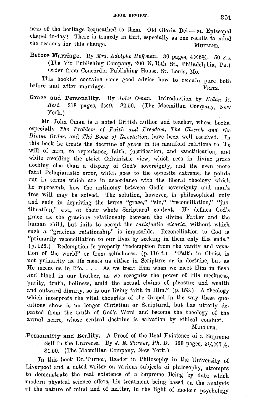ness of the heritage bequeathed to them. Old Gloria Dei-an Episcopal chapel to-day! There is tragedy in that, especially as one recalls to mind the reasons for this change. MUELLER.

Before Marriage. By *Mrs. Adolphe Hoffman.* 36 pages,  $4 \times 6\frac{3}{4}$ . 50 cts. ('l'he Vir Publishing Company, 200 N.15th St., Philadelphia, Pa.) Order from Concordia Publishing House, St. Louis, Mo.

This booklet contains some good advice how to remain pure both before and after marriage.  $\hat{F}_{\text{RITZ}}$ 

Grace and Personality. By *John Oman*. Introduction by *Nolan R. Best.* 318 pages,  $6 \times 9$ . \$2.50. (The Macmillan Company, New York.)

Mr. John Oman is a noted British author and teacher, whose books, especially *The Problem of Faith and Freedom, The Church and the Divine Order,* and *The Book of Revelation,* have been well received. In this book he treats the doctrine of grace in its manifold relations to the will of man, to repentance, faith, justification, and sanctification, and while avoiding the strict Calvinistic view, which sees in divine grace nothing else . than a display of God's sovereignty, and the even more fatal Pelagianistic error, which goes to the opposite extreme, he points out in terms which are in accordance with the liberal theology which he represents how the antinomy between God's sovereignty and man's free will may be solved. The solution, however, is philosophical only and ends in depriving the terms "grace," "sin," "reconciliation," "justification," etc., of their whole Scriptural eontent. He defines God's grace as the gracious relationship between the divine Father and the human child, but fails to accept the *satisfactio vicaria*, without which such a "gracious relationship" is impossible. Reconciliation to God is "primarily reconciliation to our lives by seeking in them only His ends." ( p. 126.) Redemption is properly "redemption from the vanity and vexation of the world" or from selfishness. ( p. 116 f.) "Faith in Christ is not primarily as He meets us either in Scripture or in doctrine, but as He meets us in life. . . . As we treat Him when we meet Him in flesh and blood in our brother, as we recognize the power of His meekness, purity, truth, holiness, amid the actual claims of pleasure and wealth and outward dignity, so is our living faith in Him." (p. 153.) A theology which interprets the vital thoughts of the Gospel in the way these quotations show is no longer Christian or Scriptural, but has utterly departed from the truth of God's Word and become the theology of the carnal heart, whose central doctrine is salvation by ethical conduct. MUELLER.

Personality and Reality. A Proof of the Real Existence of a Supreme Self in the Universe. By J. E. *Turner*, Ph. D. 190 pages,  $5\frac{1}{2} \times 7\frac{1}{2}$ . \$1.50. (The Macmillan Company, New York.)

In this book Dr. Turner, Reader in Philosophy in the University of Liverpool and a noted writer on various subjects of philosophy, attempts to demonstrate the real existence of a Supreme Being by data which modern physical science offers, his treatment being based on the analysis of the nature of mind and of matter, in the light of modern psychology